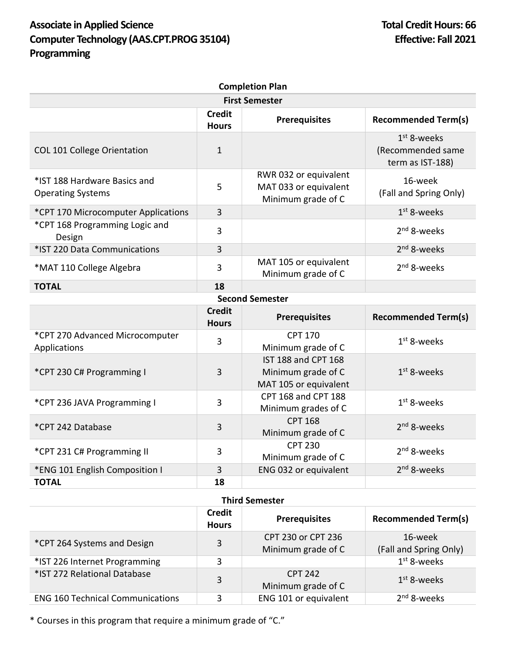## Associate in Applied Science **Total Credit Hours: 66 Computer Technology (AAS.CPT.PROG 35104) Effective: Fall 2021 Programming**

| <b>Completion Plan</b>                                   |                               |                                                                      |                                                        |  |  |
|----------------------------------------------------------|-------------------------------|----------------------------------------------------------------------|--------------------------------------------------------|--|--|
| <b>First Semester</b>                                    |                               |                                                                      |                                                        |  |  |
|                                                          | <b>Credit</b><br><b>Hours</b> | <b>Prerequisites</b>                                                 | <b>Recommended Term(s)</b>                             |  |  |
| COL 101 College Orientation                              | $\mathbf{1}$                  |                                                                      | $1st$ 8-weeks<br>(Recommended same<br>term as IST-188) |  |  |
| *IST 188 Hardware Basics and<br><b>Operating Systems</b> | 5                             | RWR 032 or equivalent<br>MAT 033 or equivalent<br>Minimum grade of C | 16-week<br>(Fall and Spring Only)                      |  |  |
| *CPT 170 Microcomputer Applications                      | $\overline{3}$                |                                                                      | $1st$ 8-weeks                                          |  |  |
| *CPT 168 Programming Logic and<br>Design                 | $\overline{3}$                |                                                                      | $2nd$ 8-weeks                                          |  |  |
| *IST 220 Data Communications                             | 3                             |                                                                      | $2nd$ 8-weeks                                          |  |  |
| *MAT 110 College Algebra                                 | 3                             | MAT 105 or equivalent<br>Minimum grade of C                          | 2 <sup>nd</sup> 8-weeks                                |  |  |
| <b>TOTAL</b>                                             | 18                            |                                                                      |                                                        |  |  |
|                                                          |                               | <b>Second Semester</b>                                               |                                                        |  |  |
|                                                          | <b>Credit</b><br><b>Hours</b> | <b>Prerequisites</b>                                                 | <b>Recommended Term(s)</b>                             |  |  |
| *CPT 270 Advanced Microcomputer<br>Applications          | 3                             | <b>CPT 170</b><br>Minimum grade of C                                 | $1st$ 8-weeks                                          |  |  |
| *CPT 230 C# Programming I                                | $\overline{3}$                | IST 188 and CPT 168<br>Minimum grade of C<br>MAT 105 or equivalent   | $1st$ 8-weeks                                          |  |  |
| *CPT 236 JAVA Programming I                              | 3                             | <b>CPT 168 and CPT 188</b><br>Minimum grades of C                    | $1st$ 8-weeks                                          |  |  |
| *CPT 242 Database                                        | 3                             | <b>CPT 168</b><br>Minimum grade of C                                 | $2nd$ 8-weeks                                          |  |  |
| *CPT 231 C# Programming II                               | $\overline{3}$                | <b>CPT 230</b><br>Minimum grade of C                                 | $2nd$ 8-weeks                                          |  |  |
| *ENG 101 English Composition I                           | 3                             | ENG 032 or equivalent                                                | 2 <sup>nd</sup> 8-weeks                                |  |  |
| <b>TOTAL</b>                                             | 18                            |                                                                      |                                                        |  |  |

## **Third Semester**

|                                         | <b>Credit</b><br><b>Hours</b> | <b>Prerequisites</b>  | <b>Recommended Term(s)</b> |
|-----------------------------------------|-------------------------------|-----------------------|----------------------------|
| *CPT 264 Systems and Design             | 3                             | CPT 230 or CPT 236    | 16-week                    |
|                                         |                               | Minimum grade of C    | (Fall and Spring Only)     |
| *IST 226 Internet Programming           | 3                             |                       | $1st$ 8-weeks              |
| *IST 272 Relational Database            | 3                             | CPT 242               | $1st$ 8-weeks              |
|                                         |                               | Minimum grade of C    |                            |
| <b>ENG 160 Technical Communications</b> | 3                             | ENG 101 or equivalent | $2nd$ 8-weeks              |

\* Courses in this program that require a minimum grade of "C."